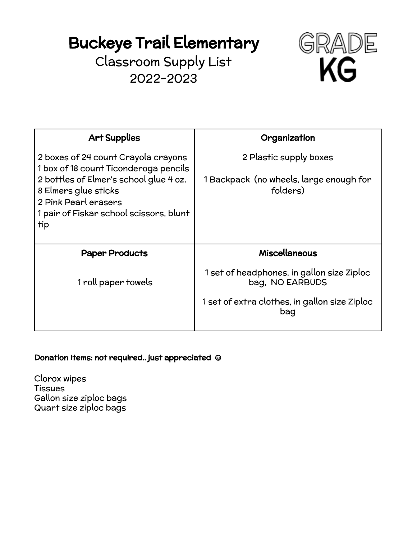Classroom Supply List 2022-2023



| <b>Art Supplies</b>                                                                                                                                                               | Organization                                                  |
|-----------------------------------------------------------------------------------------------------------------------------------------------------------------------------------|---------------------------------------------------------------|
| 2 boxes of 24 count Crayola crayons                                                                                                                                               | 2 Plastic supply boxes                                        |
| 1 box of 18 count Ticonderoga pencils<br>2 bottles of Elmer's school glue 4 oz.<br>8 Elmers glue sticks<br>2 Pink Pearl erasers<br>1 pair of Fiskar school scissors, blunt<br>tip | 1 Backpack (no wheels, large enough for<br>folders)           |
| <b>Paper Products</b>                                                                                                                                                             | <b>Miscellaneous</b>                                          |
| 1 roll paper towels                                                                                                                                                               | 1 set of headphones, in gallon size Ziploc<br>bag, NO EARBUDS |
|                                                                                                                                                                                   | 1 set of extra clothes, in gallon size Ziploc<br>bag          |

#### Donation Items: not required.. just appreciated **☺**

Clorox wipes Tissues Gallon size ziploc bags Quart size ziploc bags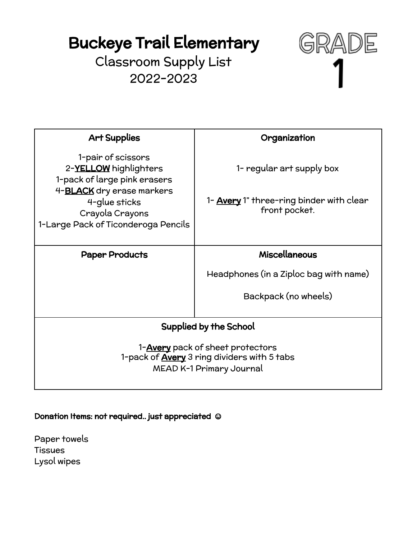Classroom Supply List 2022-2023



| <b>Art Supplies</b>                                                                                                        | Organization                                                     |
|----------------------------------------------------------------------------------------------------------------------------|------------------------------------------------------------------|
| 1-pair of scissors<br>2-YELLOW highlighters<br>1-pack of large pink erasers                                                | 1- regular art supply box                                        |
| 4- <b>BLACK</b> dry erase markers<br>4-glue sticks<br>Crayola Crayons<br>1-Large Pack of Ticonderoga Pencils               | 1- <b>Avery</b> 1" three-ring binder with clear<br>front pocket. |
| <b>Paper Products</b>                                                                                                      | <b>Miscellaneous</b>                                             |
|                                                                                                                            | Headphones (in a Ziploc bag with name)                           |
|                                                                                                                            | Backpack (no wheels)                                             |
| <b>Supplied by the School</b>                                                                                              |                                                                  |
| 1- <b>Avery</b> pack of sheet protectors<br>1-pack of <b>Avery</b> 3 ring dividers with 5 tabs<br>MEAD K-1 Primary Journal |                                                                  |

Donation Items: not required.. just appreciated **☺**

Paper towels **Tissues** Lysol wipes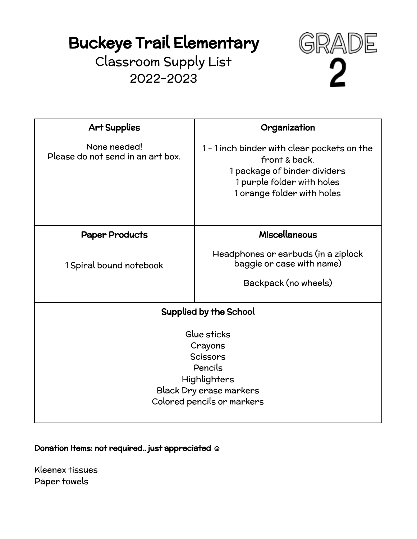Classroom Supply List 2022-2023



| <b>Art Supplies</b>                                                                                                           | Organization                                                                                                                                             |
|-------------------------------------------------------------------------------------------------------------------------------|----------------------------------------------------------------------------------------------------------------------------------------------------------|
| None needed!<br>Please do not send in an art box.                                                                             | 1 - 1 inch binder with clear pockets on the<br>front & back.<br>1 package of binder dividers<br>1 purple folder with holes<br>1 orange folder with holes |
| <b>Paper Products</b>                                                                                                         | <b>Miscellaneous</b>                                                                                                                                     |
| 1 Spiral bound notebook                                                                                                       | Headphones or earbuds (in a ziplock<br>baggie or case with name)<br>Backpack (no wheels)                                                                 |
|                                                                                                                               |                                                                                                                                                          |
| Supplied by the School                                                                                                        |                                                                                                                                                          |
| Glue sticks<br>Crayons<br>Scissors<br>Pencils<br>Highlighters<br><b>Black Dry erase markers</b><br>Colored pencils or markers |                                                                                                                                                          |

Donation Items: not required.. just appreciated **☺**

Kleenex tissues Paper towels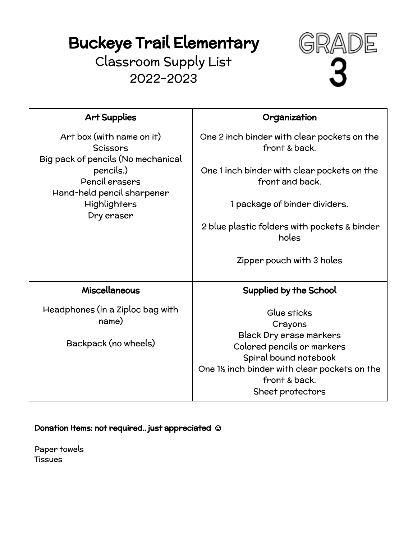Classroom Supply List 2022-2023



| <b>Art Supplies</b>                                                         | Organization                                                                      |
|-----------------------------------------------------------------------------|-----------------------------------------------------------------------------------|
| Art box (with name on it)<br>Scissors<br>Big pack of pencils (No mechanical | One 2 inch binder with clear pockets on the<br>front & back.                      |
| pencils.)<br>Pencil erasers<br>Hand-held pencil sharpener                   | One 1 inch binder with clear pockets on the<br>front and back.                    |
| Highlighters<br>Dry eraser                                                  | 1 package of binder dividers.                                                     |
|                                                                             | 2 blue plastic folders with pockets & binder<br>holes                             |
|                                                                             | Zipper pouch with 3 holes                                                         |
| Miscellaneous                                                               | <b>Supplied by the School</b>                                                     |
| Headphones (in a Ziploc bag with<br>name)                                   | Glue sticks<br>Crayons<br><b>Black Dry erase markers</b>                          |
|                                                                             |                                                                                   |
| Backpack (no wheels)                                                        | Colored pencils or markers<br>Spiral bound notebook                               |
|                                                                             | One 1% inch binder with clear pockets on the<br>front & back.<br>Sheet protectors |

Donation Items: not required.. just appreciated **☺**

Paper towels **Tissues**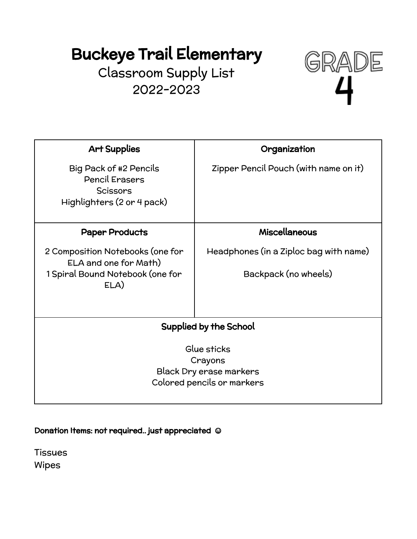Classroom Supply List 2022-2023



| <b>Art Supplies</b>                                                                              | Organization                           |
|--------------------------------------------------------------------------------------------------|----------------------------------------|
| Big Pack of #2 Pencils<br><b>Pencil Erasers</b><br><b>Scissors</b><br>Highlighters (2 or 4 pack) | Zipper Pencil Pouch (with name on it)  |
| <b>Paper Products</b>                                                                            | <b>Miscellaneous</b>                   |
| 2 Composition Notebooks (one for<br>ELA and one for Math)                                        | Headphones (in a Ziploc bag with name) |
| 1 Spiral Bound Notebook (one for<br>ELA)                                                         | Backpack (no wheels)                   |
| <b>Supplied by the School</b>                                                                    |                                        |
| Glue sticks<br>Crayons<br><b>Black Dry erase markers</b><br>Colored pencils or markers           |                                        |
|                                                                                                  |                                        |

Donation Items: not required.. just appreciated **☺**

**Tissues** Wipes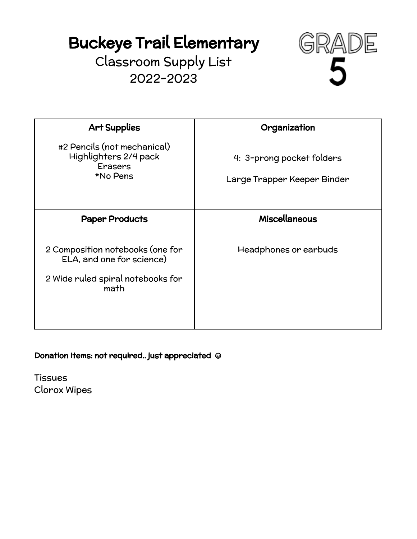Classroom Supply List 2022-2023



| <b>Art Supplies</b>                                                                                        | Organization                                             |
|------------------------------------------------------------------------------------------------------------|----------------------------------------------------------|
| #2 Pencils (not mechanical)<br>Highlighters 2/4 pack<br><b>Erasers</b><br>*No Pens                         | 4: 3-prong pocket folders<br>Large Trapper Keeper Binder |
| <b>Paper Products</b>                                                                                      | <b>Miscellaneous</b>                                     |
| 2 Composition notebooks (one for<br>ELA, and one for science)<br>2 Wide ruled spiral notebooks for<br>math | Headphones or earbuds                                    |

Donation Items: not required.. just appreciated **☺**

**Tissues** Clorox Wipes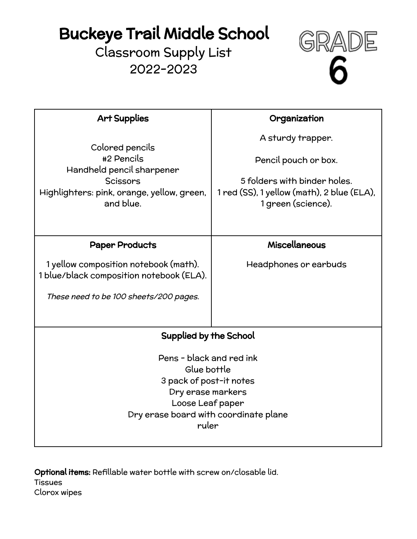## Buckeye Trail Middle School

Classroom Supply List 2022-2023



| <b>Art Supplies</b>                                                               | Organization                                                     |
|-----------------------------------------------------------------------------------|------------------------------------------------------------------|
| Colored pencils                                                                   | A sturdy trapper.                                                |
| #2 Pencils<br>Handheld pencil sharpener                                           | Pencil pouch or box.                                             |
| Scissors                                                                          | 5 folders with binder holes.                                     |
| Highlighters: pink, orange, yellow, green,<br>and blue.                           | 1 red (SS), 1 yellow (math), 2 blue (ELA),<br>1 green (science). |
|                                                                                   |                                                                  |
| <b>Paper Products</b>                                                             | <b>Miscellaneous</b>                                             |
| 1 yellow composition notebook (math).<br>1 blue/black composition notebook (ELA). | Headphones or earbuds                                            |
| These need to be 100 sheets/200 pages.                                            |                                                                  |
|                                                                                   |                                                                  |
| Supplied by the School                                                            |                                                                  |
| Pens - black and red ink                                                          |                                                                  |
| Glue bottle                                                                       |                                                                  |
| 3 pack of post-it notes                                                           |                                                                  |
| Dry erase markers                                                                 |                                                                  |
| Loose Leaf paper                                                                  |                                                                  |
| Dry erase board with coordinate plane                                             |                                                                  |
| ruler                                                                             |                                                                  |

Optional items: Refillable water bottle with screw on/closable lid. Tissues Clorox wipes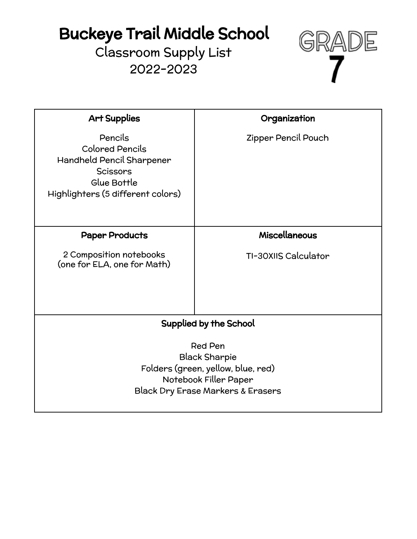# Buckeye Trail Middle School

Classroom Supply List 2022-2023



| <b>Art Supplies</b>                                                                                                                                   | Organization         |
|-------------------------------------------------------------------------------------------------------------------------------------------------------|----------------------|
| Pencils<br><b>Colored Pencils</b><br>Handheld Pencil Sharpener<br><b>Scissors</b><br>Glue Bottle<br>Highlighters (5 different colors)                 | Zipper Pencil Pouch  |
| <b>Paper Products</b>                                                                                                                                 | <b>Miscellaneous</b> |
| 2 Composition notebooks<br>(one for ELA, one for Math)                                                                                                | TI-30XIIS Calculator |
| <b>Supplied by the School</b>                                                                                                                         |                      |
| <b>Red Pen</b><br><b>Black Sharpie</b><br>Folders (green, yellow, blue, red)<br>Notebook Filler Paper<br><b>Black Dry Erase Markers &amp; Erasers</b> |                      |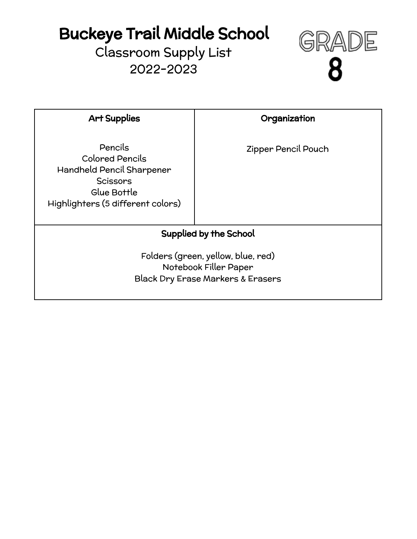# Buckeye Trail Middle School

Classroom Supply List 2022-2023



| <b>Art Supplies</b>                                                                                                                   | Organization        |
|---------------------------------------------------------------------------------------------------------------------------------------|---------------------|
| Pencils<br><b>Colored Pencils</b><br>Handheld Pencil Sharpener<br><b>Scissors</b><br>Glue Bottle<br>Highlighters (5 different colors) | Zipper Pencil Pouch |
| <b>Supplied by the School</b>                                                                                                         |                     |
| Folders (green, yellow, blue, red)<br>Notebook Filler Paper<br><b>Black Dry Erase Markers &amp; Erasers</b>                           |                     |